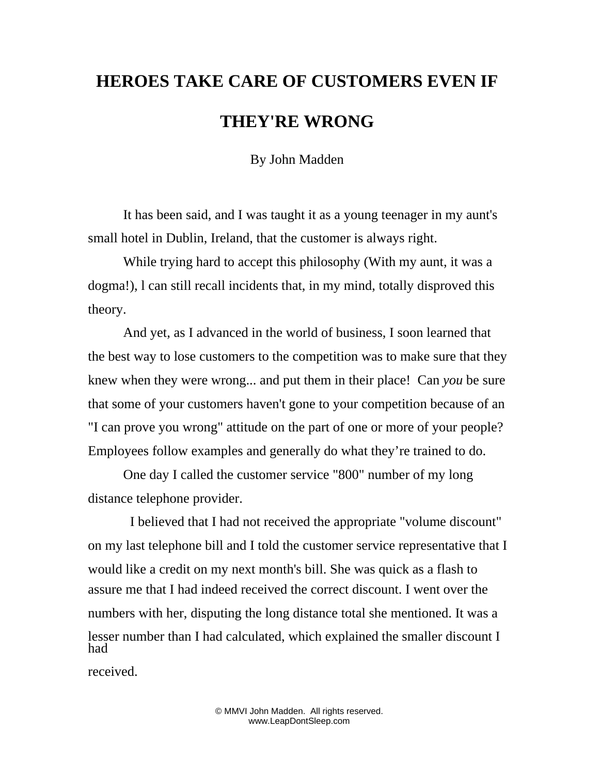## **HEROES TAKE CARE OF CUSTOMERS EVEN IF THEY'RE WRONG**

By John Madden

It has been said, and I was taught it as a young teenager in my aunt's small hotel in Dublin, Ireland, that the customer is always right.

While trying hard to accept this philosophy (With my aunt, it was a dogma!), l can still recall incidents that, in my mind, totally disproved this theory.

And yet, as I advanced in the world of business, I soon learned that the best way to lose customers to the competition was to make sure that they knew when they were wrong... and put them in their place! Can *you* be sure that some of your customers haven't gone to your competition because of an "I can prove you wrong" attitude on the part of one or more of your people? Employees follow examples and generally do what they're trained to do.

One day I called the customer service "800" number of my long distance telephone provider.

 I believed that I had not received the appropriate "volume discount" on my last telephone bill and I told the customer service representative that I would like a credit on my next month's bill. She was quick as a flash to assure me that I had indeed received the correct discount. I went over the numbers with her, disputing the long distance total she mentioned. It was a lesser number than I had calculated, which explained the smaller discount I had

received.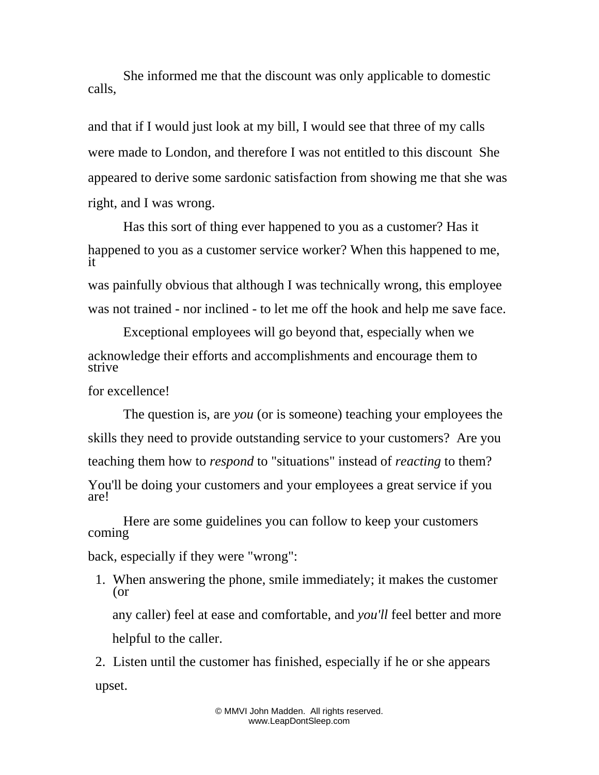She informed me that the discount was only applicable to domestic calls,

and that if I would just look at my bill, I would see that three of my calls were made to London, and therefore I was not entitled to this discount She appeared to derive some sardonic satisfaction from showing me that she was right, and I was wrong.

Has this sort of thing ever happened to you as a customer? Has it happened to you as a customer service worker? When this happened to me, it

was painfully obvious that although I was technically wrong, this employee was not trained - nor inclined - to let me off the hook and help me save face.

Exceptional employees will go beyond that, especially when we acknowledge their efforts and accomplishments and encourage them to strive

for excellence!

The question is, are *you* (or is someone) teaching your employees the skills they need to provide outstanding service to your customers? Are you teaching them how to *respond* to "situations" instead of *reacting* to them? You'll be doing your customers and your employees a great service if you are!

Here are some guidelines you can follow to keep your customers coming

back, especially if they were "wrong":

1. When answering the phone, smile immediately; it makes the customer (or any caller) feel at ease and comfortable, and *you'll* feel better and more helpful to the caller.

2. Listen until the customer has finished, especially if he or she appears upset.